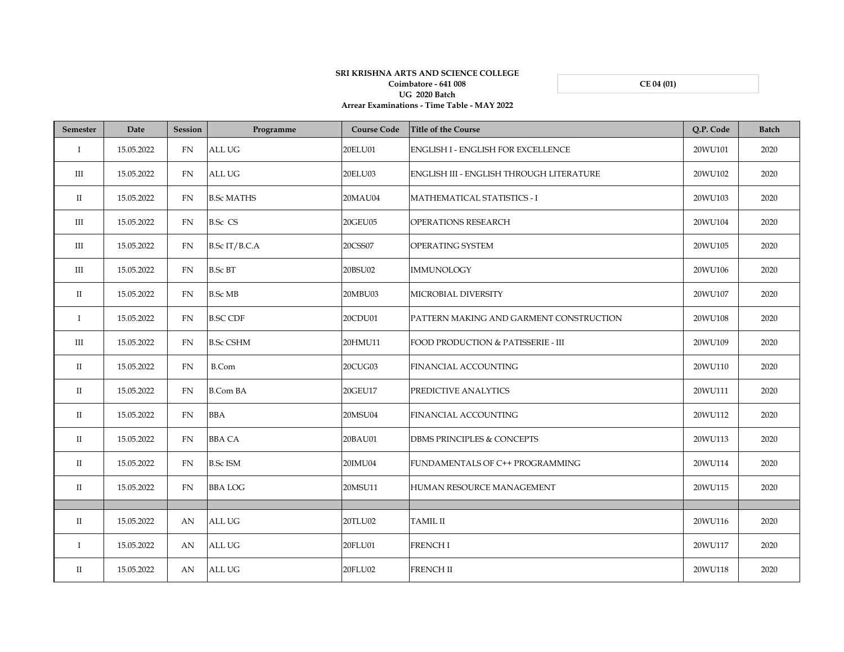## **Arrear Examinations - Time Table - MAY 2022 SRI KRISHNA ARTS AND SCIENCE COLLEGE Coimbatore - 641 008 UG 2020 Batch**

**CE 04 (01)**

| Semester             | Date       | <b>Session</b> | Programme         | <b>Course Code</b> | Title of the Course                             | O.P. Code | <b>Batch</b> |
|----------------------|------------|----------------|-------------------|--------------------|-------------------------------------------------|-----------|--------------|
| $\mathbf I$          | 15.05.2022 | <b>FN</b>      | ALL UG            | 20ELU01            | <b>ENGLISH I - ENGLISH FOR EXCELLENCE</b>       | 20WU101   | 2020         |
| Ш                    | 15.05.2022 | FN             | <b>ALL UG</b>     | 20ELU03            | <b>ENGLISH III - ENGLISH THROUGH LITERATURE</b> | 20WU102   | 2020         |
| $\rm II$             | 15.05.2022 | FN             | <b>B.Sc MATHS</b> | 20MAU04            | MATHEMATICAL STATISTICS - I                     | 20WU103   | 2020         |
| Ш                    | 15.05.2022 | <b>FN</b>      | <b>B.Sc CS</b>    | <b>20GEU05</b>     | OPERATIONS RESEARCH                             | 20WU104   | 2020         |
| Ш                    | 15.05.2022 | <b>FN</b>      | B.Sc IT/B.C.A     | 20CSS07            | OPERATING SYSTEM                                | 20WU105   | 2020         |
| $\rm III$            | 15.05.2022 | <b>FN</b>      | <b>B.Sc BT</b>    | 20BSU02            | <b>IMMUNOLOGY</b>                               | 20WU106   | 2020         |
| $_{\rm II}$          | 15.05.2022 | <b>FN</b>      | <b>B.Sc MB</b>    | 20MBU03            | MICROBIAL DIVERSITY                             | 20WU107   | 2020         |
| $\mathbf I$          | 15.05.2022 | <b>FN</b>      | <b>B.SC CDF</b>   | 20CDU01            | PATTERN MAKING AND GARMENT CONSTRUCTION         | 20WU108   | 2020         |
| III                  | 15.05.2022 | <b>FN</b>      | <b>B.Sc CSHM</b>  | 20HMU11            | <b>FOOD PRODUCTION &amp; PATISSERIE - III</b>   | 20WU109   | 2020         |
| $\rm II$             | 15.05.2022 | <b>FN</b>      | <b>B.Com</b>      | 20CUG03            | <b>FINANCIAL ACCOUNTING</b>                     | 20WU110   | 2020         |
| $\scriptstyle\rm II$ | 15.05.2022 | <b>FN</b>      | <b>B.Com BA</b>   | 20GEU17            | PREDICTIVE ANALYTICS                            | 20WU111   | 2020         |
| $\rm II$             | 15.05.2022 | FN             | <b>BBA</b>        | 20MSU04            | <b>FINANCIAL ACCOUNTING</b>                     | 20WU112   | 2020         |
| $\rm II$             | 15.05.2022 | FN             | <b>BBA CA</b>     | 20BAU01            | <b>DBMS PRINCIPLES &amp; CONCEPTS</b>           | 20WU113   | 2020         |
| $_{\rm II}$          | 15.05.2022 | <b>FN</b>      | <b>B.Sc ISM</b>   | 20IMU04            | FUNDAMENTALS OF C++ PROGRAMMING                 | 20WU114   | 2020         |
| $\rm II$             | 15.05.2022 | FN             | <b>BBA LOG</b>    | 20MSU11            | HUMAN RESOURCE MANAGEMENT                       | 20WU115   | 2020         |
|                      |            |                |                   |                    |                                                 |           |              |
| $\mathbf{I}$         | 15.05.2022 | AN             | ALL UG            | 20TLU02            | <b>TAMIL II</b>                                 | 20WU116   | 2020         |
| $\bf{I}$             | 15.05.2022 | AN             | <b>ALL UG</b>     | 20FLU01            | <b>FRENCHI</b>                                  | 20WU117   | 2020         |
| $\scriptstyle\rm II$ | 15.05.2022 | AN             | <b>ALL UG</b>     | 20FLU02            | <b>FRENCH II</b>                                | 20WU118   | 2020         |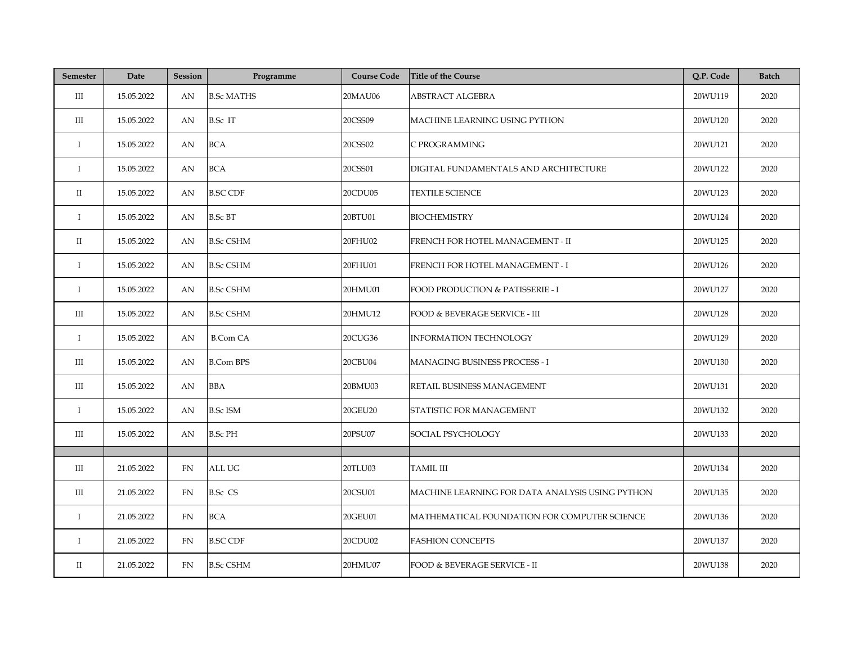| <b>Semester</b> | Date       | <b>Session</b> | Programme         | <b>Course Code</b> | <b>Title of the Course</b>                      | Q.P. Code | <b>Batch</b> |
|-----------------|------------|----------------|-------------------|--------------------|-------------------------------------------------|-----------|--------------|
| Ш               | 15.05.2022 | AN             | <b>B.Sc MATHS</b> | 20MAU06            | ABSTRACT ALGEBRA                                | 20WU119   | 2020         |
| Ш               | 15.05.2022 | AN             | <b>B.Sc IT</b>    | 20CSS09            | MACHINE LEARNING USING PYTHON                   | 20WU120   | 2020         |
| $\mathbf I$     | 15.05.2022 | AN             | <b>BCA</b>        | 20CSS02            | C PROGRAMMING                                   | 20WU121   | 2020         |
| $\bf{I}$        | 15.05.2022 | AN             | <b>BCA</b>        | 20CSS01            | DIGITAL FUNDAMENTALS AND ARCHITECTURE           | 20WU122   | 2020         |
| $\rm II$        | 15.05.2022 | AN             | <b>B.SC CDF</b>   | 20CDU05            | <b>TEXTILE SCIENCE</b>                          | 20WU123   | 2020         |
| $\bf{I}$        | 15.05.2022 | AN             | <b>B.Sc BT</b>    | 20BTU01            | <b>BIOCHEMISTRY</b>                             | 20WU124   | 2020         |
| П               | 15.05.2022 | AN             | <b>B.Sc CSHM</b>  | 20FHU02            | FRENCH FOR HOTEL MANAGEMENT - II                | 20WU125   | 2020         |
| $\bf{I}$        | 15.05.2022 | AN             | <b>B.Sc CSHM</b>  | 20FHU01            | FRENCH FOR HOTEL MANAGEMENT - I                 | 20WU126   | 2020         |
| $\bf{I}$        | 15.05.2022 | AN             | <b>B.Sc CSHM</b>  | 20HMU01            | FOOD PRODUCTION & PATISSERIE - I                | 20WU127   | 2020         |
| Ш               | 15.05.2022 | AN             | <b>B.Sc CSHM</b>  | 20HMU12            | FOOD & BEVERAGE SERVICE - III                   | 20WU128   | 2020         |
| $\bf{I}$        | 15.05.2022 | AN             | <b>B.Com CA</b>   | 20CUG36            | <b>INFORMATION TECHNOLOGY</b>                   | 20WU129   | 2020         |
| Ш               | 15.05.2022 | AN             | <b>B.Com BPS</b>  | 20CBU04            | MANAGING BUSINESS PROCESS - I                   | 20WU130   | 2020         |
| Ш               | 15.05.2022 | AN             | <b>BBA</b>        | 20BMU03            | RETAIL BUSINESS MANAGEMENT                      | 20WU131   | 2020         |
| $\bf{I}$        | 15.05.2022 | AN             | <b>B.Sc ISM</b>   | 20GEU20            | STATISTIC FOR MANAGEMENT                        | 20WU132   | 2020         |
| $\rm III$       | 15.05.2022 | AN             | <b>B.Sc PH</b>    | 20PSU07            | SOCIAL PSYCHOLOGY                               | 20WU133   | 2020         |
|                 |            |                |                   |                    |                                                 |           |              |
| III             | 21.05.2022 | <b>FN</b>      | <b>ALL UG</b>     | 20TLU03            | <b>TAMIL III</b>                                | 20WU134   | 2020         |
| Ш               | 21.05.2022 | FN             | <b>B.Sc CS</b>    | 20CSU01            | MACHINE LEARNING FOR DATA ANALYSIS USING PYTHON | 20WU135   | 2020         |
| $\bf{I}$        | 21.05.2022 | FN             | <b>BCA</b>        | 20GEU01            | MATHEMATICAL FOUNDATION FOR COMPUTER SCIENCE    | 20WU136   | 2020         |
| Ι.              | 21.05.2022 | <b>FN</b>      | <b>B.SC CDF</b>   | 20CDU02            | <b>FASHION CONCEPTS</b>                         | 20WU137   | 2020         |
| П               | 21.05.2022 | <b>FN</b>      | <b>B.Sc CSHM</b>  | 20HMU07            | FOOD & BEVERAGE SERVICE - II                    | 20WU138   | 2020         |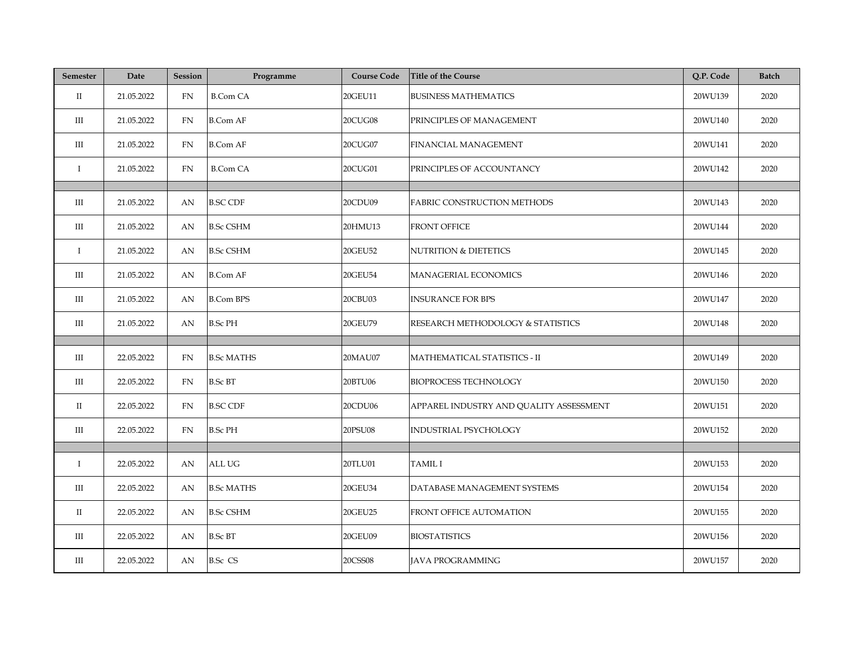| <b>Semester</b>      | Date       | <b>Session</b> | Programme         | <b>Course Code</b> | <b>Title of the Course</b>              | Q.P. Code | <b>Batch</b> |
|----------------------|------------|----------------|-------------------|--------------------|-----------------------------------------|-----------|--------------|
| $\mathbf{I}$         | 21.05.2022 | FN             | <b>B.Com CA</b>   | 20GEU11            | <b>BUSINESS MATHEMATICS</b>             | 20WU139   | 2020         |
| Ш                    | 21.05.2022 | FN             | <b>B.Com AF</b>   | <b>20CUG08</b>     | PRINCIPLES OF MANAGEMENT                | 20WU140   | 2020         |
| Ш                    | 21.05.2022 | FN             | <b>B.Com AF</b>   | 20CUG07            | FINANCIAL MANAGEMENT                    | 20WU141   | 2020         |
| $\bf{I}$             | 21.05.2022 | FN             | <b>B.Com CA</b>   | 20CUG01            | PRINCIPLES OF ACCOUNTANCY               | 20WU142   | 2020         |
|                      |            |                |                   |                    |                                         |           |              |
| Ш                    | 21.05.2022 | AN             | <b>B.SC CDF</b>   | 20CDU09            | FABRIC CONSTRUCTION METHODS             | 20WU143   | 2020         |
| Ш                    | 21.05.2022 | AN             | <b>B.Sc CSHM</b>  | 20HMU13            | FRONT OFFICE                            | 20WU144   | 2020         |
| $\mathbf I$          | 21.05.2022 | AN             | <b>B.Sc CSHM</b>  | 20GEU52            | <b>NUTRITION &amp; DIETETICS</b>        | 20WU145   | 2020         |
| Ш                    | 21.05.2022 | AN             | <b>B.Com AF</b>   | 20GEU54            | MANAGERIAL ECONOMICS                    | 20WU146   | 2020         |
| Ш                    | 21.05.2022 | AN             | <b>B.Com BPS</b>  | 20CBU03            | <b>INSURANCE FOR BPS</b>                | 20WU147   | 2020         |
| III                  | 21.05.2022 | AN             | <b>B.Sc PH</b>    | 20GEU79            | RESEARCH METHODOLOGY & STATISTICS       | 20WU148   | 2020         |
|                      |            |                |                   |                    |                                         |           |              |
| $\rm III$            | 22.05.2022 | <b>FN</b>      | <b>B.Sc MATHS</b> | 20MAU07            | MATHEMATICAL STATISTICS - II            | 20WU149   | 2020         |
| $\rm III$            | 22.05.2022 | FN             | <b>B.Sc BT</b>    | 20BTU06            | <b>BIOPROCESS TECHNOLOGY</b>            | 20WU150   | 2020         |
| $\scriptstyle\rm II$ | 22.05.2022 | FN             | <b>B.SC CDF</b>   | 20CDU06            | APPAREL INDUSTRY AND QUALITY ASSESSMENT | 20WU151   | 2020         |
| $\rm III$            | 22.05.2022 | FN             | <b>B.Sc PH</b>    | 20PSU08            | INDUSTRIAL PSYCHOLOGY                   | 20WU152   | 2020         |
|                      |            |                |                   |                    |                                         |           |              |
| Ι.                   | 22.05.2022 | AN             | ALL UG            | 20TLU01            | <b>TAMIL I</b>                          | 20WU153   | 2020         |
| Ш                    | 22.05.2022 | AN             | <b>B.Sc MATHS</b> | 20GEU34            | DATABASE MANAGEMENT SYSTEMS             | 20WU154   | 2020         |
| $\rm II$             | 22.05.2022 | AN             | <b>B.Sc CSHM</b>  | 20GEU25            | FRONT OFFICE AUTOMATION                 | 20WU155   | 2020         |
| Ш                    | 22.05.2022 | AN             | <b>B.Sc BT</b>    | 20GEU09            | <b>BIOSTATISTICS</b>                    | 20WU156   | 2020         |
| Ш                    | 22.05.2022 | AN             | <b>B.Sc CS</b>    | 20CSS08            | <b>JAVA PROGRAMMING</b>                 | 20WU157   | 2020         |